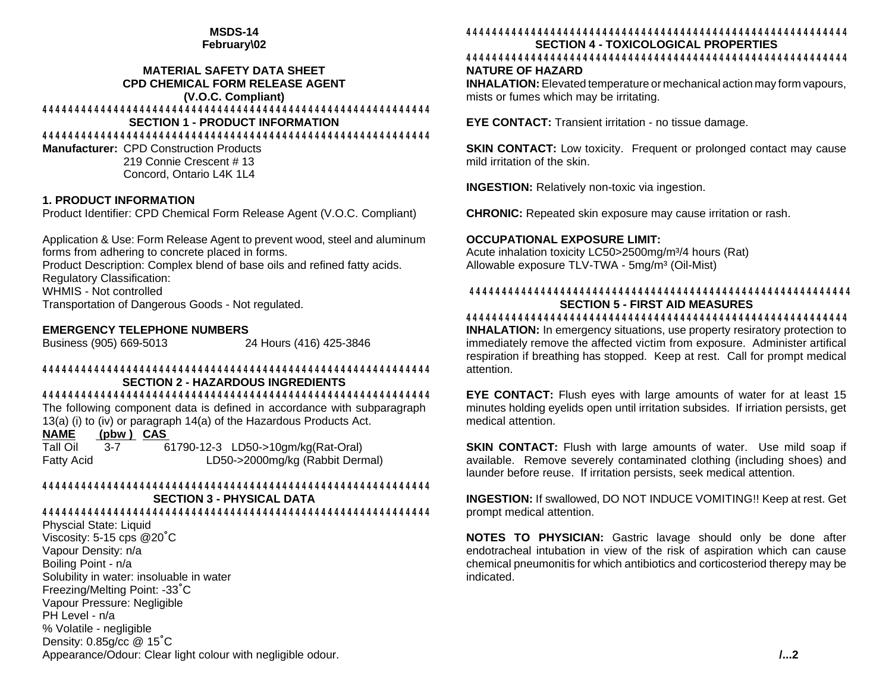# **MSDS-14**

**February\02**

#### **MATERIAL SAFETY DATA SHEET CPD CHEMICAL FORM RELEASE AGENT (V.O.C. Compliant)**

# 444444444444444444444444444444444444444444444444444444444444

## **SECTION 1 - PRODUCT INFORMATION**

444444444444444444444444444444444444444444444444444444444444

**Manufacturer:** CPD Construction Products 219 Connie Crescent # 13 Concord, Ontario L4K 1L4

# **1. PRODUCT INFORMATION**

Product Identifier: CPD Chemical Form Release Agent (V.O.C. Compliant)

Application & Use: Form Release Agent to prevent wood, steel and aluminum forms from adhering to concrete placed in forms.

Product Description: Complex blend of base oils and refined fatty acids. Regulatory Classification:

WHMIS - Not controlled

Transportation of Dangerous Goods - Not regulated.

#### **EMERGENCY TELEPHONE NUMBERS**

Business (905) 669-5013 24 Hours (416) 425-3846

#### 444444444444444444444444444444444444444444444444444444444444 **SECTION 2 - HAZARDOUS INGREDIENTS**

# 444444444444444444444444444444444444444444444444444444444444

The following component data is defined in accordance with subparagraph 13(a) (i) to (iv) or paragraph 14(a) of the Hazardous Products Act.

## **NAME (pbw ) CAS**

Tall Oil 3-7 61790-12-3 LD50->10gm/kg(Rat-Oral) Fatty Acid LD50->2000mg/kg (Rabbit Dermal)

# 444444444444444444444444444444444444444444444444444444444444

**SECTION 3 - PHYSICAL DATA**

### 444444444444444444444444444444444444444444444444444444444444

Physcial State: Liquid Viscosity: 5-15 cps @20°C Vapour Density: n/a Boiling Point - n/a Solubility in water: insoluable in water Freezing/Melting Point: -33/C Vapour Pressure: Negligible PH Level - n/a % Volatile - negligible Density: 0.85g/cc @ 15/C Appearance/Odour: Clear light colour with negligible odour.

## 44444444444444444444444444444444444444444444444444444444444

**SECTION 4 - TOXICOLOGICAL PROPERTIES**

#### 44444444444444444444444444444444444444444444444444444444444 **NATURE OF HAZARD**

**INHALATION:**Elevated temperature or mechanical action may form vapours, mists or fumes which may be irritating.

**EYE CONTACT:** Transient irritation - no tissue damage.

**SKIN CONTACT:** Low toxicity. Frequent or prolonged contact may cause mild irritation of the skin.

**INGESTION:** Relatively non-toxic via ingestion.

**CHRONIC:** Repeated skin exposure may cause irritation or rash.

#### **OCCUPATIONAL EXPOSURE LIMIT:**

Acute inhalation toxicity LC50>2500mg/m<sup>3</sup>/4 hours (Rat) Allowable exposure TLV-TWA - 5mg/m<sup>3</sup> (Oil-Mist)

#### 44444444444444444444444444444444444444444444444444444444444 **SECTION 5 - FIRST AID MEASURES**

44444444444444444444444444444444444444444444444444444444444

**INHALATION:** In emergency situations, use property resiratory protection to immediately remove the affected victim from exposure. Administer artifical respiration if breathing has stopped. Keep at rest. Call for prompt medical attention.

**EYE CONTACT:** Flush eyes with large amounts of water for at least 15 minutes holding eyelids open until irritation subsides. If irriation persists, get medical attention.

**SKIN CONTACT:** Flush with large amounts of water. Use mild soap if available. Remove severely contaminated clothing (including shoes) and launder before reuse. If irritation persists, seek medical attention.

**INGESTION:** If swallowed, DO NOT INDUCE VOMITING!! Keep at rest. Get prompt medical attention.

**NOTES TO PHYSICIAN:** Gastric lavage should only be done after endotracheal intubation in view of the risk of aspiration which can cause chemical pneumonitis for which antibiotics and corticosteriod therepy may be indicated.